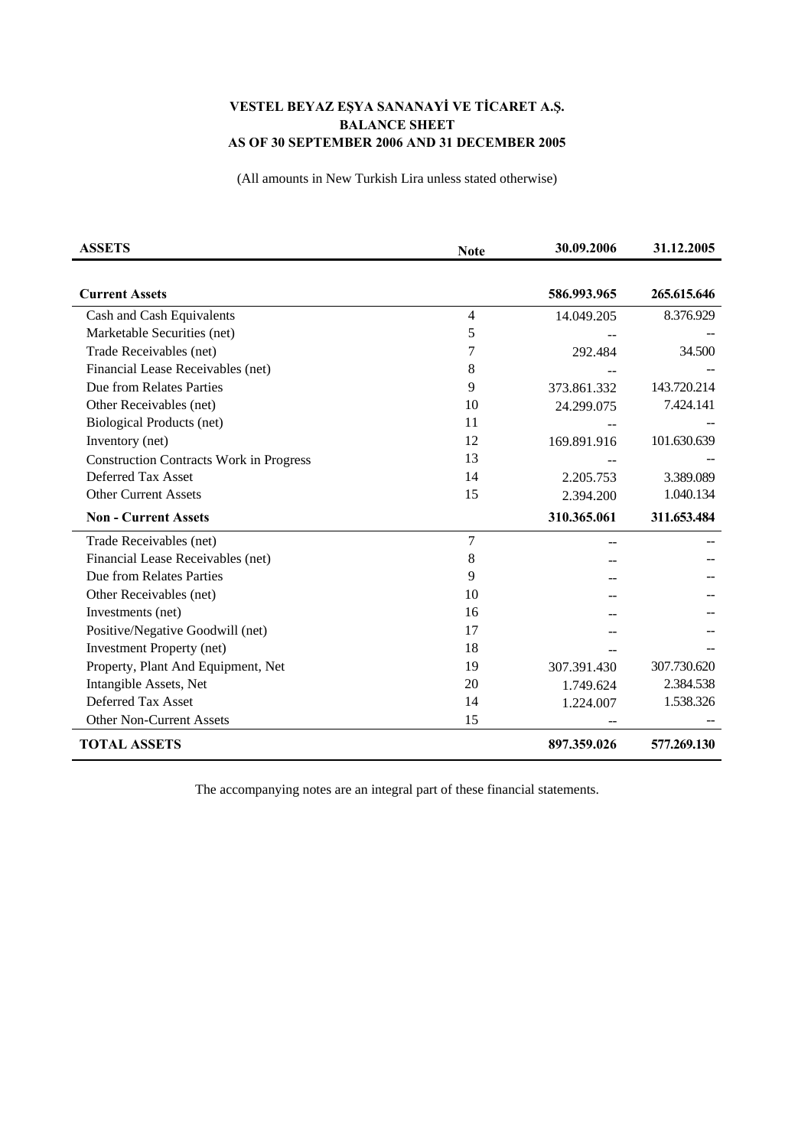## **VESTEL BEYAZ EŞYA SANANAYİ VE TİCARET A.Ş. BALANCE SHEET AS OF 30 SEPTEMBER 2006 AND 31 DECEMBER 2005**

(All amounts in New Turkish Lira unless stated otherwise)

| <b>ASSETS</b>                                  | <b>Note</b>    | 30.09.2006  | 31.12.2005  |
|------------------------------------------------|----------------|-------------|-------------|
|                                                |                |             |             |
| <b>Current Assets</b>                          |                | 586.993.965 | 265.615.646 |
| Cash and Cash Equivalents                      | $\overline{4}$ | 14.049.205  | 8.376.929   |
| Marketable Securities (net)                    | 5              |             |             |
| Trade Receivables (net)                        | 7              | 292.484     | 34.500      |
| Financial Lease Receivables (net)              | 8              |             |             |
| Due from Relates Parties                       | 9              | 373.861.332 | 143.720.214 |
| Other Receivables (net)                        | 10             | 24.299.075  | 7.424.141   |
| Biological Products (net)                      | 11             |             |             |
| Inventory (net)                                | 12             | 169.891.916 | 101.630.639 |
| <b>Construction Contracts Work in Progress</b> | 13             |             |             |
| Deferred Tax Asset                             | 14             | 2.205.753   | 3.389.089   |
| <b>Other Current Assets</b>                    | 15             | 2.394.200   | 1.040.134   |
| <b>Non - Current Assets</b>                    |                | 310.365.061 | 311.653.484 |
| Trade Receivables (net)                        | $\overline{7}$ |             |             |
| Financial Lease Receivables (net)              | 8              |             |             |
| Due from Relates Parties                       | 9              |             |             |
| Other Receivables (net)                        | 10             |             |             |
| Investments (net)                              | 16             |             |             |
| Positive/Negative Goodwill (net)               | 17             |             |             |
| <b>Investment Property (net)</b>               | 18             |             |             |
| Property, Plant And Equipment, Net             | 19             | 307.391.430 | 307.730.620 |
| Intangible Assets, Net                         | 20             | 1.749.624   | 2.384.538   |
| Deferred Tax Asset                             | 14             | 1.224.007   | 1.538.326   |
| <b>Other Non-Current Assets</b>                | 15             |             |             |
| <b>TOTAL ASSETS</b>                            |                | 897.359.026 | 577.269.130 |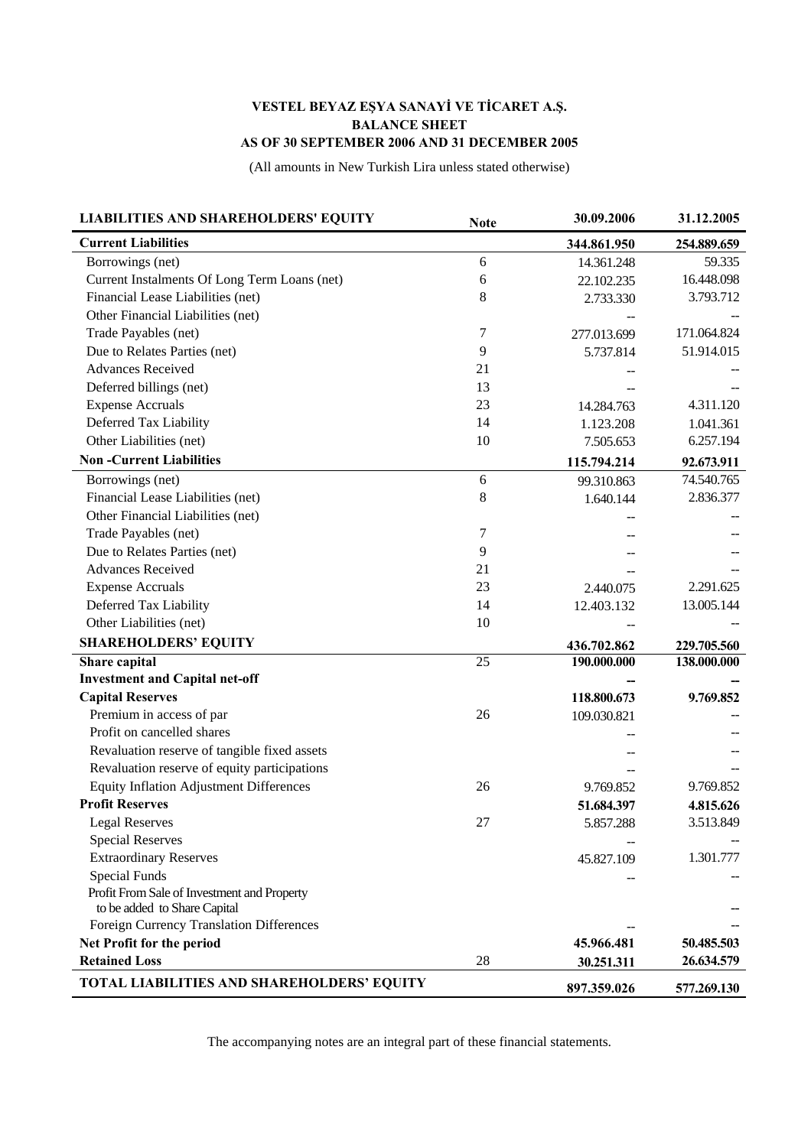## **VESTEL BEYAZ EŞYA SANAYİ VE TİCARET A.Ş. BALANCE SHEET AS OF 30 SEPTEMBER 2006 AND 31 DECEMBER 2005**

(All amounts in New Turkish Lira unless stated otherwise)

| <b>LIABILITIES AND SHAREHOLDERS' EQUITY</b>    | <b>Note</b> | 30.09.2006  | 31.12.2005  |
|------------------------------------------------|-------------|-------------|-------------|
| <b>Current Liabilities</b>                     |             | 344.861.950 | 254.889.659 |
| Borrowings (net)                               | 6           | 14.361.248  | 59.335      |
| Current Instalments Of Long Term Loans (net)   | 6           | 22.102.235  | 16.448.098  |
| Financial Lease Liabilities (net)              | 8           | 2.733.330   | 3.793.712   |
| Other Financial Liabilities (net)              |             |             |             |
| Trade Payables (net)                           | 7           | 277.013.699 | 171.064.824 |
| Due to Relates Parties (net)                   | 9           | 5.737.814   | 51.914.015  |
| <b>Advances Received</b>                       | 21          |             |             |
| Deferred billings (net)                        | 13          |             |             |
| <b>Expense Accruals</b>                        | 23          | 14.284.763  | 4.311.120   |
| Deferred Tax Liability                         | 14          | 1.123.208   | 1.041.361   |
| Other Liabilities (net)                        | 10          | 7.505.653   | 6.257.194   |
| <b>Non-Current Liabilities</b>                 |             | 115.794.214 | 92.673.911  |
| Borrowings (net)                               | 6           | 99.310.863  | 74.540.765  |
| Financial Lease Liabilities (net)              | 8           | 1.640.144   | 2.836.377   |
| Other Financial Liabilities (net)              |             |             |             |
| Trade Payables (net)                           | 7           |             |             |
| Due to Relates Parties (net)                   | 9           |             |             |
| <b>Advances Received</b>                       | 21          |             |             |
| <b>Expense Accruals</b>                        | 23          | 2.440.075   | 2.291.625   |
| Deferred Tax Liability                         | 14          | 12.403.132  | 13.005.144  |
| Other Liabilities (net)                        | 10          |             |             |
| <b>SHAREHOLDERS' EQUITY</b>                    |             | 436.702.862 | 229.705.560 |
| Share capital                                  | 25          | 190.000.000 | 138.000.000 |
| <b>Investment and Capital net-off</b>          |             |             |             |
| <b>Capital Reserves</b>                        |             | 118.800.673 | 9.769.852   |
| Premium in access of par                       | 26          | 109.030.821 |             |
| Profit on cancelled shares                     |             |             |             |
| Revaluation reserve of tangible fixed assets   |             |             |             |
| Revaluation reserve of equity participations   |             |             |             |
| <b>Equity Inflation Adjustment Differences</b> | 26          | 9.769.852   | 9.769.852   |
| <b>Profit Reserves</b>                         |             | 51.684.397  | 4.815.626   |
| <b>Legal Reserves</b>                          | 27          | 5.857.288   | 3.513.849   |
| <b>Special Reserves</b>                        |             |             |             |
| <b>Extraordinary Reserves</b>                  |             | 45.827.109  | 1.301.777   |
| <b>Special Funds</b>                           |             |             |             |
| Profit From Sale of Investment and Property    |             |             |             |
| to be added to Share Capital                   |             |             |             |
| Foreign Currency Translation Differences       |             |             |             |
| Net Profit for the period                      |             | 45.966.481  | 50.485.503  |
| <b>Retained Loss</b>                           | 28          | 30.251.311  | 26.634.579  |
| TOTAL LIABILITIES AND SHAREHOLDERS' EQUITY     |             | 897.359.026 | 577.269.130 |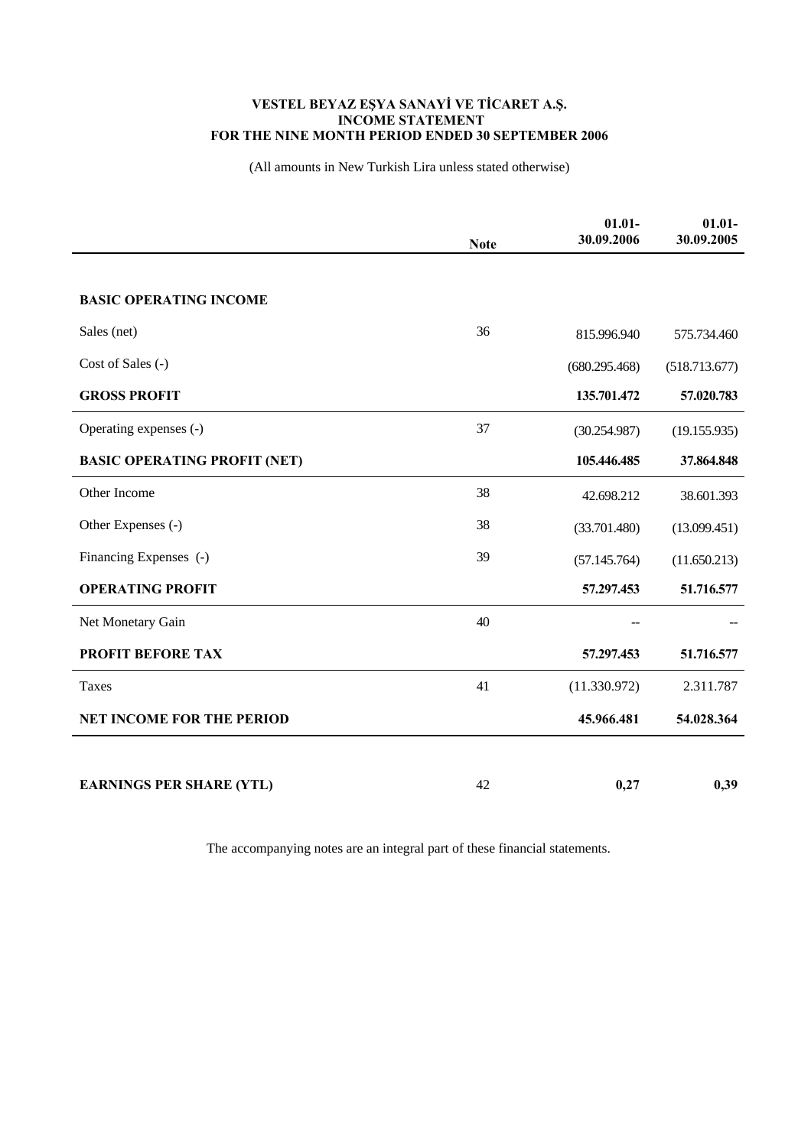## **VESTEL BEYAZ EŞYA SANAYİ VE TİCARET A.Ş. INCOME STATEMENT FOR THE NINE MONTH PERIOD ENDED 30 SEPTEMBER 2006**

(All amounts in New Turkish Lira unless stated otherwise)

|                                     | <b>Note</b> | $01.01 -$<br>30.09.2006 | $01.01 -$<br>30.09.2005 |
|-------------------------------------|-------------|-------------------------|-------------------------|
|                                     |             |                         |                         |
| <b>BASIC OPERATING INCOME</b>       |             |                         |                         |
| Sales (net)                         | 36          | 815.996.940             | 575.734.460             |
| Cost of Sales (-)                   |             | (680.295.468)           | (518.713.677)           |
| <b>GROSS PROFIT</b>                 |             | 135.701.472             | 57.020.783              |
| Operating expenses (-)              | 37          | (30.254.987)            | (19.155.935)            |
| <b>BASIC OPERATING PROFIT (NET)</b> |             | 105.446.485             | 37.864.848              |
| Other Income                        | 38          | 42.698.212              | 38.601.393              |
| Other Expenses (-)                  | 38          | (33.701.480)            | (13.099.451)            |
| Financing Expenses (-)              | 39          | (57.145.764)            | (11.650.213)            |
| <b>OPERATING PROFIT</b>             |             | 57.297.453              | 51.716.577              |
| Net Monetary Gain                   | 40          |                         |                         |
| <b>PROFIT BEFORE TAX</b>            |             | 57.297.453              | 51.716.577              |
| Taxes                               | 41          | (11.330.972)            | 2.311.787               |
| <b>NET INCOME FOR THE PERIOD</b>    |             | 45.966.481              | 54.028.364              |
|                                     |             |                         |                         |
| <b>EARNINGS PER SHARE (YTL)</b>     | 42          | 0,27                    | 0,39                    |